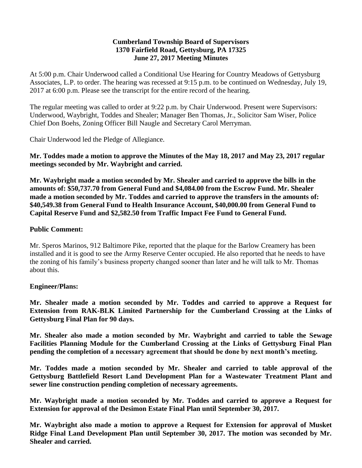#### **Cumberland Township Board of Supervisors 1370 Fairfield Road, Gettysburg, PA 17325 June 27, 2017 Meeting Minutes**

At 5:00 p.m. Chair Underwood called a Conditional Use Hearing for Country Meadows of Gettysburg Associates, L.P. to order. The hearing was recessed at 9:15 p.m. to be continued on Wednesday, July 19, 2017 at 6:00 p.m. Please see the transcript for the entire record of the hearing.

The regular meeting was called to order at 9:22 p.m. by Chair Underwood. Present were Supervisors: Underwood, Waybright, Toddes and Shealer; Manager Ben Thomas, Jr., Solicitor Sam Wiser, Police Chief Don Boehs, Zoning Officer Bill Naugle and Secretary Carol Merryman.

Chair Underwood led the Pledge of Allegiance.

**Mr. Toddes made a motion to approve the Minutes of the May 18, 2017 and May 23, 2017 regular meetings seconded by Mr. Waybright and carried.**

**Mr. Waybright made a motion seconded by Mr. Shealer and carried to approve the bills in the amounts of: \$50,737.70 from General Fund and \$4,084.00 from the Escrow Fund. Mr. Shealer made a motion seconded by Mr. Toddes and carried to approve the transfers in the amounts of: \$40,549.38 from General Fund to Health Insurance Account, \$40,000.00 from General Fund to Capital Reserve Fund and \$2,582.50 from Traffic Impact Fee Fund to General Fund.**

### **Public Comment:**

Mr. Speros Marinos, 912 Baltimore Pike, reported that the plaque for the Barlow Creamery has been installed and it is good to see the Army Reserve Center occupied. He also reported that he needs to have the zoning of his family's business property changed sooner than later and he will talk to Mr. Thomas about this.

### **Engineer/Plans:**

**Mr. Shealer made a motion seconded by Mr. Toddes and carried to approve a Request for Extension from RAK-BLK Limited Partnership for the Cumberland Crossing at the Links of Gettysburg Final Plan for 90 days.** 

**Mr. Shealer also made a motion seconded by Mr. Waybright and carried to table the Sewage Facilities Planning Module for the Cumberland Crossing at the Links of Gettysburg Final Plan pending the completion of a necessary agreement that should be done by next month's meeting.**

**Mr. Toddes made a motion seconded by Mr. Shealer and carried to table approval of the Gettysburg Battlefield Resort Land Development Plan for a Wastewater Treatment Plant and sewer line construction pending completion of necessary agreements.**

**Mr. Waybright made a motion seconded by Mr. Toddes and carried to approve a Request for Extension for approval of the Desimon Estate Final Plan until September 30, 2017.**

**Mr. Waybright also made a motion to approve a Request for Extension for approval of Musket Ridge Final Land Development Plan until September 30, 2017. The motion was seconded by Mr. Shealer and carried.**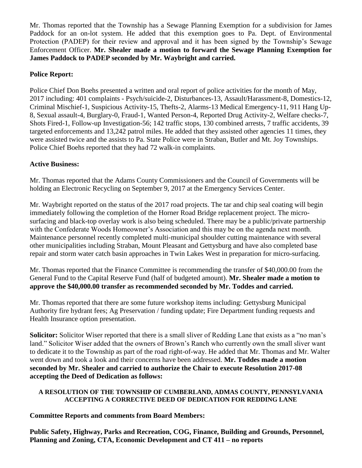Mr. Thomas reported that the Township has a Sewage Planning Exemption for a subdivision for James Paddock for an on-lot system. He added that this exemption goes to Pa. Dept. of Environmental Protection (PADEP) for their review and approval and it has been signed by the Township's Sewage Enforcement Officer. **Mr. Shealer made a motion to forward the Sewage Planning Exemption for James Paddock to PADEP seconded by Mr. Waybright and carried.**

## **Police Report:**

Police Chief Don Boehs presented a written and oral report of police activities for the month of May, 2017 including: 401 complaints - Psych/suicide-2, Disturbances-13, Assault/Harassment-8, Domestics-12, Criminal Mischief-1, Suspicious Activity-15, Thefts-2, Alarms-13 Medical Emergency-11, 911 Hang Up-8, Sexual assault-4, Burglary-0, Fraud-1, Wanted Person-4, Reported Drug Activity-2, Welfare checks-7, Shots Fired-1, Follow-up Investigation-56; 142 traffic stops, 130 combined arrests, 7 traffic accidents, 39 targeted enforcements and 13,242 patrol miles. He added that they assisted other agencies 11 times, they were assisted twice and the assists to Pa. State Police were in Straban, Butler and Mt. Joy Townships. Police Chief Boehs reported that they had 72 walk-in complaints.

## **Active Business:**

Mr. Thomas reported that the Adams County Commissioners and the Council of Governments will be holding an Electronic Recycling on September 9, 2017 at the Emergency Services Center.

Mr. Waybright reported on the status of the 2017 road projects. The tar and chip seal coating will begin immediately following the completion of the Horner Road Bridge replacement project. The microsurfacing and black-top overlay work is also being scheduled. There may be a public/private partnership with the Confederate Woods Homeowner's Association and this may be on the agenda next month. Maintenance personnel recently completed multi-municipal shoulder cutting maintenance with several other municipalities including Straban, Mount Pleasant and Gettysburg and have also completed base repair and storm water catch basin approaches in Twin Lakes West in preparation for micro-surfacing.

Mr. Thomas reported that the Finance Committee is recommending the transfer of \$40,000.00 from the General Fund to the Capital Reserve Fund (half of budgeted amount). **Mr. Shealer made a motion to approve the \$40,000.00 transfer as recommended seconded by Mr. Toddes and carried.**

Mr. Thomas reported that there are some future workshop items including: Gettysburg Municipal Authority fire hydrant fees; Ag Preservation / funding update; Fire Department funding requests and Health Insurance option presentation.

**Solicitor:** Solicitor Wiser reported that there is a small sliver of Redding Lane that exists as a "no man's land." Solicitor Wiser added that the owners of Brown's Ranch who currently own the small sliver want to dedicate it to the Township as part of the road right-of-way. He added that Mr. Thomas and Mr. Walter went down and took a look and their concerns have been addressed. **Mr. Toddes made a motion seconded by Mr. Shealer and carried to authorize the Chair to execute Resolution 2017-08 accepting the Deed of Dedication as follows:**

### **A RESOLUTION OF THE TOWNSHIP OF CUMBERLAND, ADMAS COUNTY, PENNSYLVANIA ACCEPTING A CORRECTIVE DEED OF DEDICATION FOR REDDING LANE**

# **Committee Reports and comments from Board Members:**

**Public Safety, Highway, Parks and Recreation, COG, Finance, Building and Grounds, Personnel, Planning and Zoning, CTA, Economic Development and CT 411 – no reports**